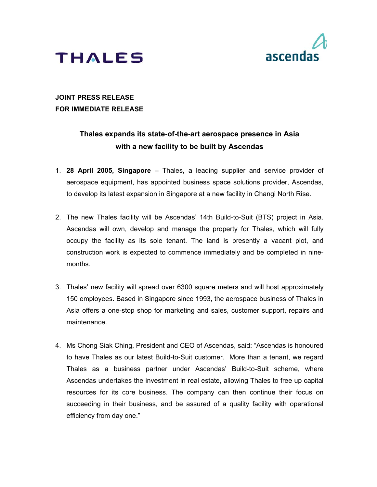



## **JOINT PRESS RELEASE FOR IMMEDIATE RELEASE**

# **Thales expands its state-of-the-art aerospace presence in Asia with a new facility to be built by Ascendas**

- 1. **28 April 2005, Singapore** Thales, a leading supplier and service provider of aerospace equipment, has appointed business space solutions provider, Ascendas, to develop its latest expansion in Singapore at a new facility in Changi North Rise.
- 2. The new Thales facility will be Ascendas' 14th Build-to-Suit (BTS) project in Asia. Ascendas will own, develop and manage the property for Thales, which will fully occupy the facility as its sole tenant. The land is presently a vacant plot, and construction work is expected to commence immediately and be completed in ninemonths.
- 3. Thales' new facility will spread over 6300 square meters and will host approximately 150 employees. Based in Singapore since 1993, the aerospace business of Thales in Asia offers a one-stop shop for marketing and sales, customer support, repairs and maintenance.
- 4. Ms Chong Siak Ching, President and CEO of Ascendas, said: "Ascendas is honoured to have Thales as our latest Build-to-Suit customer. More than a tenant, we regard Thales as a business partner under Ascendas' Build-to-Suit scheme, where Ascendas undertakes the investment in real estate, allowing Thales to free up capital resources for its core business. The company can then continue their focus on succeeding in their business, and be assured of a quality facility with operational efficiency from day one."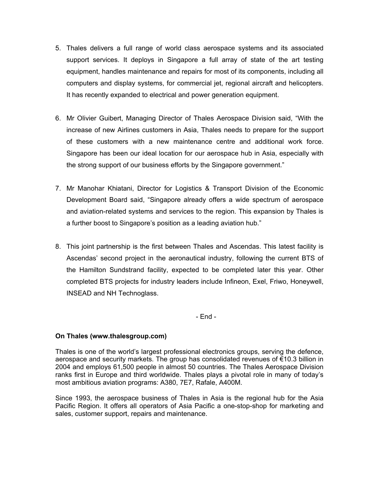- 5. Thales delivers a full range of world class aerospace systems and its associated support services. It deploys in Singapore a full array of state of the art testing equipment, handles maintenance and repairs for most of its components, including all computers and display systems, for commercial jet, regional aircraft and helicopters. It has recently expanded to electrical and power generation equipment.
- 6. Mr Olivier Guibert, Managing Director of Thales Aerospace Division said, "With the increase of new Airlines customers in Asia, Thales needs to prepare for the support of these customers with a new maintenance centre and additional work force. Singapore has been our ideal location for our aerospace hub in Asia, especially with the strong support of our business efforts by the Singapore government."
- 7. Mr Manohar Khiatani, Director for Logistics & Transport Division of the Economic Development Board said, "Singapore already offers a wide spectrum of aerospace and aviation-related systems and services to the region. This expansion by Thales is a further boost to Singapore's position as a leading aviation hub."
- 8. This joint partnership is the first between Thales and Ascendas. This latest facility is Ascendas' second project in the aeronautical industry, following the current BTS of the Hamilton Sundstrand facility, expected to be completed later this year. Other completed BTS projects for industry leaders include Infineon, Exel, Friwo, Honeywell, INSEAD and NH Technoglass.

- End -

### **On Thales (www.thalesgroup.com)**

Thales is one of the world's largest professional electronics groups, serving the defence, aerospace and security markets. The group has consolidated revenues of €10.3 billion in 2004 and employs 61,500 people in almost 50 countries. The Thales Aerospace Division ranks first in Europe and third worldwide. Thales plays a pivotal role in many of today's most ambitious aviation programs: A380, 7E7, Rafale, A400M.

Since 1993, the aerospace business of Thales in Asia is the regional hub for the Asia Pacific Region. It offers all operators of Asia Pacific a one-stop-shop for marketing and sales, customer support, repairs and maintenance.